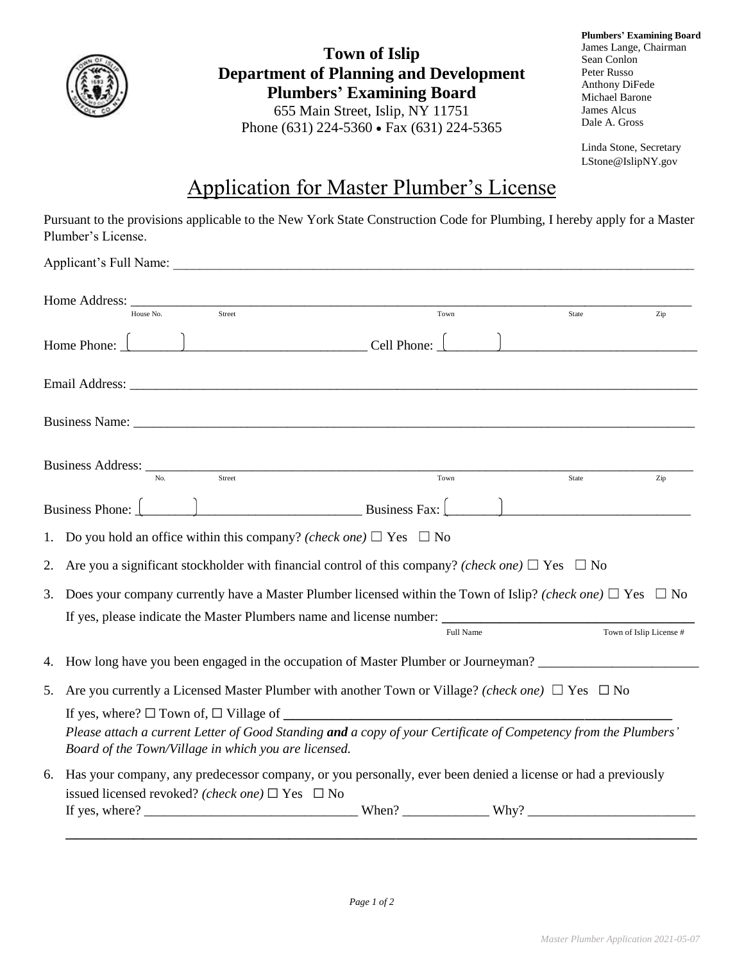

**Town of Islip Department of Planning and Development Plumbers' Examining Board** 655 Main Street, Islip, NY 11751 Phone (631) 224-5360 • Fax (631) 224-5365

**Plumbers' Examining Board** James Lange, Chairman Sean Conlon Peter Russo Anthony DiFede Michael Barone James Alcus Dale A. Gross

Linda Stone, Secretary LStone@IslipNY.gov

## Application for Master Plumber's License

Pursuant to the provisions applicable to the New York State Construction Code for Plumbing, I hereby apply for a Master Plumber's License.

|    | Applicant's Full Name:                                                                                                                                                                                                            |                    |       |                         |  |  |  |
|----|-----------------------------------------------------------------------------------------------------------------------------------------------------------------------------------------------------------------------------------|--------------------|-------|-------------------------|--|--|--|
|    | Street<br>House No.                                                                                                                                                                                                               | Town               | State | Zip                     |  |  |  |
|    | Home Phone: $\begin{array}{c} \begin{array}{c} \end{array}$                                                                                                                                                                       |                    |       |                         |  |  |  |
|    |                                                                                                                                                                                                                                   |                    |       |                         |  |  |  |
|    |                                                                                                                                                                                                                                   |                    |       |                         |  |  |  |
|    | Business Address: <u>Washington Management</u><br>$\overline{\text{Street}}$                                                                                                                                                      | $_{\mathrm{Town}}$ | State | Zip                     |  |  |  |
|    | $B$ usiness Fax:<br>Business Phone:                                                                                                                                                                                               |                    |       |                         |  |  |  |
| 1. | Do you hold an office within this company? (check one) $\Box$ Yes $\Box$ No                                                                                                                                                       |                    |       |                         |  |  |  |
| 2. | Are you a significant stockholder with financial control of this company? (check one) $\Box$ Yes $\Box$ No                                                                                                                        |                    |       |                         |  |  |  |
| 3. | Does your company currently have a Master Plumber licensed within the Town of Islip? (check one) $\Box$ Yes $\Box$ No                                                                                                             |                    |       |                         |  |  |  |
|    | If yes, please indicate the Master Plumbers name and license number:                                                                                                                                                              | Full Name          |       | Town of Islip License # |  |  |  |
| 4. | How long have you been engaged in the occupation of Master Plumber or Journeyman? ____________________________                                                                                                                    |                    |       |                         |  |  |  |
| 5. | Are you currently a Licensed Master Plumber with another Town or Village? (check one) $\Box$ Yes $\Box$ No                                                                                                                        |                    |       |                         |  |  |  |
|    | If yes, where? $\square$ Town of, $\square$ Village of<br>Please attach a current Letter of Good Standing and a copy of your Certificate of Competency from the Plumbers'<br>Board of the Town/Village in which you are licensed. |                    |       |                         |  |  |  |
| 6. | Has your company, any predecessor company, or you personally, ever been denied a license or had a previously<br>issued licensed revoked? (check one) $\Box$ Yes $\Box$ No                                                         |                    |       |                         |  |  |  |
|    |                                                                                                                                                                                                                                   |                    |       |                         |  |  |  |